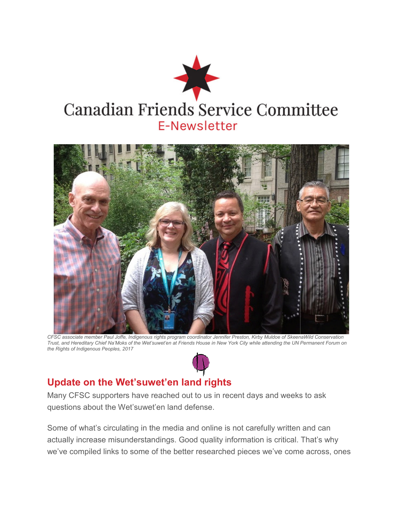



*CFSC associate member Paul Joffe, Indigenous rights program coordinator Jennifer Preston, Kirby Muldoe of SkeenaWild Conserva CFSC member Joffe, Indigenous Conserva Trust, and Hereditary Chief Na'Moks of the Wet'suwet'e Na'Moks of Wet'suwet'en at Friends House in New York City while attending the UN Permanent Forum on n Friends House the Rights of Indigenous Peoples, 2017*

### **Update on the Wet'suwet'en land rights on**

Many CFSC supporters have reached out to us in recent days and weeks to ask questions about the Wet'suwet'en land defense.

Some of what's circulating in the media and online is not carefully written and can Some of what's circulating in the media and online is not carefully written and can<br>actually increase misunderstandings. Good quality information is critical. That's why we've compiled links to some of the better researched pieces we've come across, ones Cociale member Paul Joffe, Indigenous rights program coordinator Jennifer Preston, Kirby Muldoe of SkeenaWild Conservation<br>
of Indigenous Peoples, 2017<br>
of Indigenous Peoples, 2017<br> **CFSC** supporters have reached out to us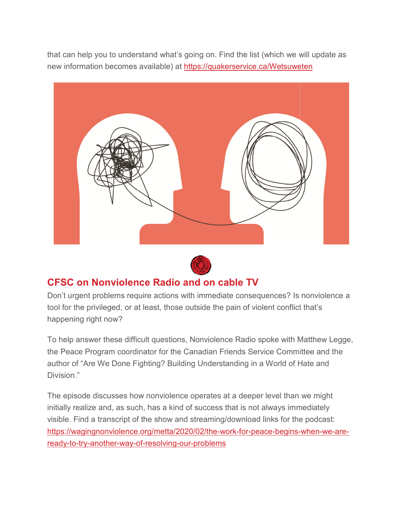that can help you to understand what's going on. Find the list (which we will update as that can help you to understand what's going on. Find the list (which we will l<br>new information becomes available) at <u>https://quakerservice.ca/Wetsuweten</u>





## **CFSC on Nonviolence Radio and on cable TV on Nonviolence**

Don't urgent problems require actions with immediate consequences? Is nonviolence a tool for the privileged, or at least, those outside the pain of violent conflict that's happening right now? Don't urgent problems require actions with immediate consequences? Is nonviolence a<br>tool for the privileged, or at least, those outside the pain of violent conflict that's<br>happening right now?<br>To help answer these difficul

the Peace Program coordinator for the Canadian Friends Service Committee and the author of "Are We Done Fighting? Building Understanding in a World of Hate and Division." the Peace Program coordinator for the Canadian Friends Service Committee and t<br>author of "Are We Done Fighting? Building Understanding in a World of Hate and<br>Division."<br>The episode discusses how nonviolence operates at a d h Matthew Legge,<br>nmittee and the<br>of Hate and<br>an we might

initially realize and, as such, has a kind of success that is not always immediately visible. Find a transcript of the show and streaming/download links for the podcast: initially realize and, as such, has a kind of success that is not always immediately<br>visible. Find a transcript of the show and streaming/download links for the podcast:<br><u>https://wagingnonviolence.org/metta/2020/02/the-wor</u> <u>ready-to-try-another-way-of-resolving-our-problems</u>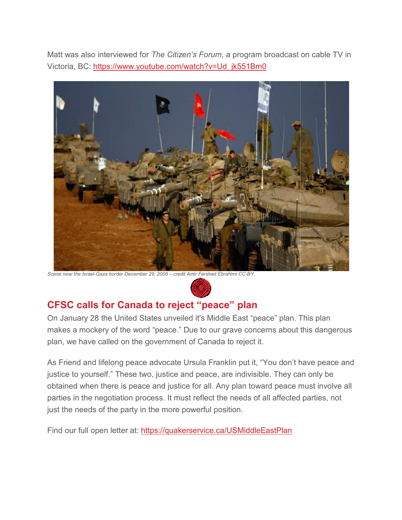Matt was also interviewed for The Citizen's Forum, a program broadcast on cable TV in Victoria, BC: https://www.youtube.com/watch?v=Ud\_jk551Bm0



Scene near the Israel-Gaza border December 29, 2008 – credit Amir Farshad Ebrahimi CC-BY.



### **CFSC calls for Canada to reject "peace" plan to "peace" plan**

On January 28 the United States unveiled it's Middle East "peace" plan. This plan On January 28 the United States unveiled it's Middle East "peace" plan. This plan<br>makes a mockery of the word "peace." Due to our grave concerns about this dangerous plan, we have called on the government of Canada to reject it.

As Friend and lifelong peace advocate Ursula Franklin put it, "You don't have peace and plan, we have called on the government of Canada to reject it.<br>As Friend and lifelong peace advocate Ursula Franklin put it, "You don't have peac<br>justice to yourself." These two, justice and peace, are indivisible. They ca obtained when there is peace and justice for all. Any plan toward peace must involve all parties in the negotiation process. It must reflect the needs of all affected parties, not parties in the negotiation process. It must reflect the need<br>just the needs of the party in the more powerful position.

Find our full open letter at: https://quakerservice.ca/USMiddleEastPlan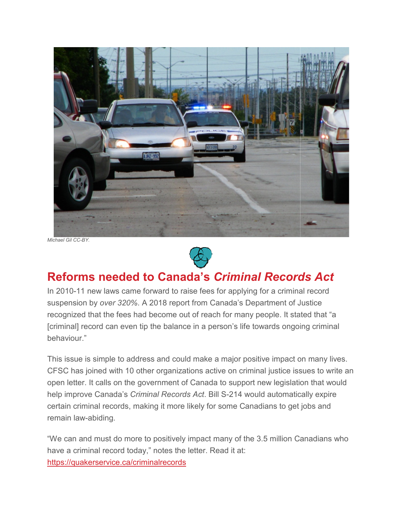

*Michael Gil CC-BY.*



# **Reforms needed to Canada's**  *Criminal Records Act*

In 2010-11 new laws came forward to raise fees for applying for a criminal record In 2010-11 new laws came forward to raise fees for applying for a criminal reco<br>suspension by *over 320%.* A 2018 report from Canada's Department of Justice recognized that the fees had become out of reach for many people. It stated that "a recognized that the fees had become out of reach for many people. It stated that "a<br>[criminal] record can even tip the balance in a person's life towards ongoing criminal behaviour."

This issue is simple to address and could make a major positive impact on many lives. CFSC has joined with 10 other organizations active on criminal justice issue This issue is simple to address and could make a major positive impact on many lives.<br>CFSC has joined with 10 other organizations active on criminal justice issues to write a<br>open letter. It calls on the government of Cana help improve Canada's *Criminal Records Act Records Act*. Bill S-214 would automatically expire help improve Canada's *Criminal Records Act*. Bill S-214 would automatically expir<br>certain criminal records, making it more likely for some Canadians to get jobs and remain law-abiding. **Reforms needed to Canada's Criminal Records Act**<br>In 2010-11 new laws came forward to raise fees for applying for a criminal record<br>suspension by over 320%. A 2018 report from Canada's Department of Justice<br>recognized that

"We can and must do more to positively impact many of the 3.5 million Canadians who have a criminal record today," notes the letter. Read it at: https://quakerservice.ca/criminalrecords